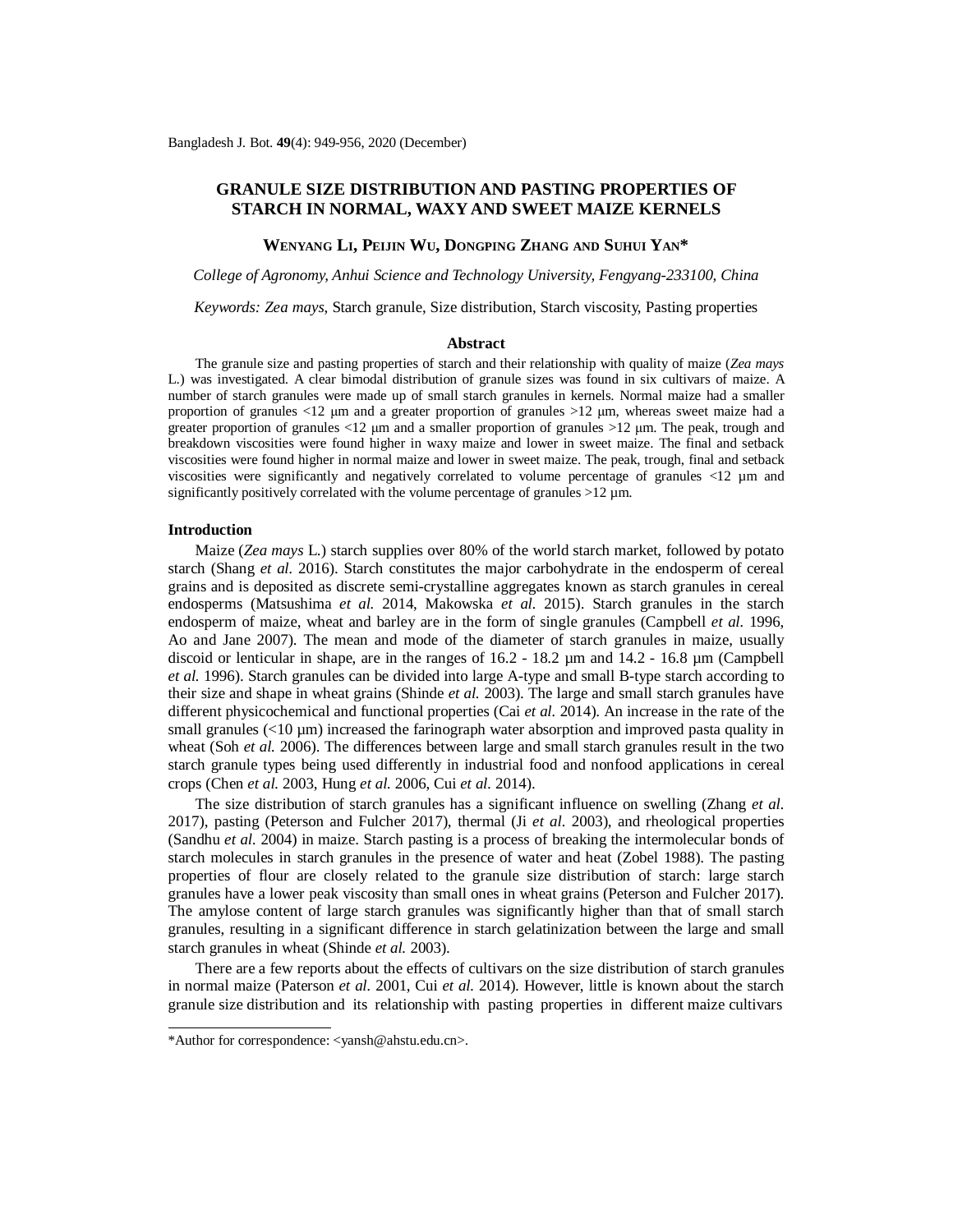# **GRANULE SIZE DISTRIBUTION AND PASTING PROPERTIES OF STARCH IN NORMAL, WAXY AND SWEET MAIZE KERNELS**

#### **WENYANG LI, PEIJIN WU, DONGPING ZHANG AND SUHUI YAN\***

*College of Agronomy, Anhui Science and Technology University, Fengyang-233100, China*

*Keywords: Zea mays*, Starch granule, Size distribution, Starch viscosity, Pasting properties

#### **Abstract**

The granule size and pasting properties of starch and their relationship with quality of maize (*Zea mays* L.) was investigated. A clear bimodal distribution of granule sizes was found in six cultivars of maize. A number of starch granules were made up of small starch granules in kernels. Normal maize had a smaller proportion of granules <12 μm and a greater proportion of granules >12 μm, whereas sweet maize had a greater proportion of granules <12 μm and a smaller proportion of granules >12 μm. The peak, trough and breakdown viscosities were found higher in waxy maize and lower in sweet maize. The final and setback viscosities were found higher in normal maize and lower in sweet maize. The peak, trough, final and setback viscosities were significantly and negatively correlated to volume percentage of granules <12 µm and significantly positively correlated with the volume percentage of granules  $>12 \mu m$ .

### **Introduction**

Maize (*Zea mays* L.) starch supplies over 80% of the world starch market, followed by potato starch (Shang *et al.* 2016). Starch constitutes the major carbohydrate in the endosperm of cereal grains and is deposited as discrete semi-crystalline aggregates known as starch granules in cereal endosperms (Matsushima *et al.* 2014, Makowska *et al.* 2015). Starch granules in the starch endosperm of maize, wheat and barley are in the form of single granules (Campbell *et al.* 1996, Ao and Jane 2007). The mean and mode of the diameter of starch granules in maize, usually discoid or lenticular in shape, are in the ranges of  $16.2 - 18.2 \mu m$  and  $14.2 - 16.8 \mu m$  (Campbell *et al.* 1996). Starch granules can be divided into large A-type and small B-type starch according to their size and shape in wheat grains (Shinde *et al.* 2003). The large and small starch granules have different physicochemical and functional properties (Cai *et al.* 2014). An increase in the rate of the small granules  $\langle$  ( $10 \mu$ m) increased the farinograph water absorption and improved pasta quality in wheat (Soh *et al.* 2006). The differences between large and small starch granules result in the two starch granule types being used differently in industrial food and nonfood applications in cereal crops (Chen *et al.* 2003, Hung *et al.* 2006, Cui *et al.* 2014).

The size distribution of starch granules has a significant influence on swelling (Zhang *et al.* 2017), pasting (Peterson and Fulcher 2017), thermal (Ji *et al.* 2003), and rheological properties (Sandhu *et al.* 2004) in maize. Starch pasting is a process of breaking the intermolecular bonds of starch molecules in starch granules in the presence of water and heat (Zobel 1988). The pasting properties of flour are closely related to the granule size distribution of starch: large starch granules have a lower peak viscosity than small ones in wheat grains (Peterson and Fulcher 2017). The amylose content of large starch granules was significantly higher than that of small starch granules, resulting in a significant difference in starch gelatinization between the large and small starch granules in wheat (Shinde *et al.* 2003).

There are a few reports about the effects of cultivars on the size distribution of starch granules in normal maize (Paterson *et al.* 2001, Cui *et al.* 2014). However, little is known about the starch granule size distribution and its relationship with pasting properties in different maize cultivars

<sup>\*</sup>Author for correspondence: [<yansh@ahstu.edu.cn>](mailto:yansh@ahstu.edu.cn).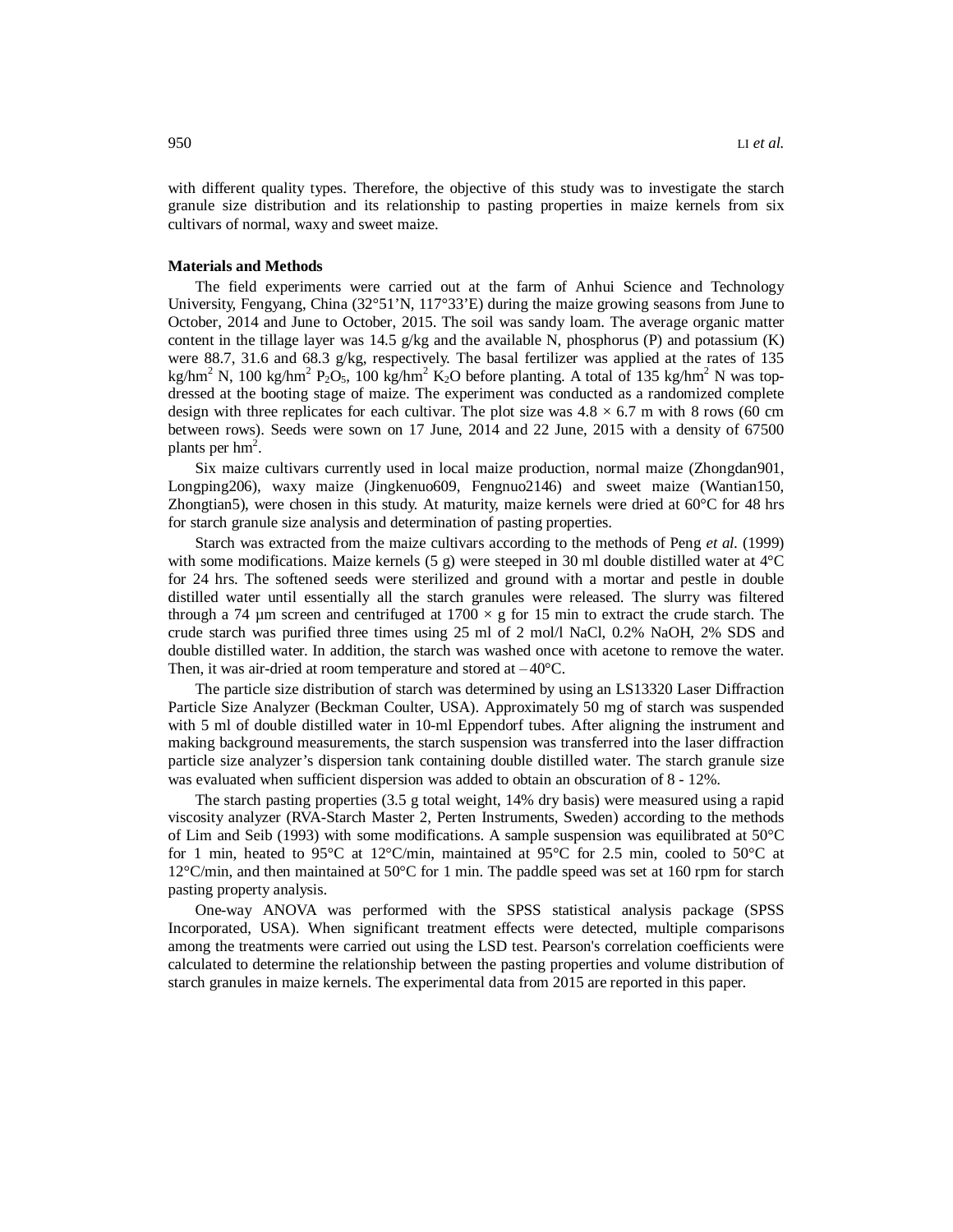with different quality types. Therefore, the objective of this study was to investigate the starch granule size distribution and its relationship to pasting properties in maize kernels from six cultivars of normal, waxy and sweet maize.

### **Materials and Methods**

The field experiments were carried out at the farm of Anhui Science and Technology University, Fengyang, China (32°51'N, 117°33'E) during the maize growing seasons from June to October, 2014 and June to October, 2015. The soil was sandy loam. The average organic matter content in the tillage layer was 14.5 g/kg and the available N, phosphorus (P) and potassium  $(K)$ were 88.7, 31.6 and 68.3  $g/kg$ , respectively. The basal fertilizer was applied at the rates of 135 kg/hm<sup>2</sup> N, 100 kg/hm<sup>2</sup> P<sub>2</sub>O<sub>5</sub>, 100 kg/hm<sup>2</sup> K<sub>2</sub>O before planting. A total of 135 kg/hm<sup>2</sup> N was topdressed at the booting stage of maize. The experiment was conducted as a randomized complete design with three replicates for each cultivar. The plot size was  $4.8 \times 6.7$  m with 8 rows (60 cm between rows). Seeds were sown on 17 June, 2014 and 22 June, 2015 with a density of 67500 plants per  $hm^2$ .

Six maize cultivars currently used in local maize production, normal maize (Zhongdan901, Longping206), waxy maize (Jingkenuo609, Fengnuo2146) and sweet maize (Wantian150, Zhongtian5), were chosen in this study. At maturity, maize kernels were dried at 60°C for 48 hrs for starch granule size analysis and determination of pasting properties.

Starch was extracted from the maize cultivars according to the methods of Peng *et al.* (1999) with some modifications. Maize kernels (5 g) were steeped in 30 ml double distilled water at  $4^{\circ}$ C for 24 hrs. The softened seeds were sterilized and ground with a mortar and pestle in double distilled water until essentially all the starch granules were released. The slurry was filtered through a 74 µm screen and centrifuged at  $1700 \times g$  for 15 min to extract the crude starch. The crude starch was purified three times using 25 ml of 2 mol/l NaCl, 0.2% NaOH, 2% SDS and double distilled water. In addition, the starch was washed once with acetone to remove the water. Then, it was air-dried at room temperature and stored at  $-40^{\circ}$ C.

The particle size distribution of starch was determined by using an LS13320 Laser Diffraction Particle Size Analyzer (Beckman Coulter, USA). Approximately 50 mg of starch was suspended with 5 ml of double distilled water in 10-ml Eppendorf tubes. After aligning the instrument and making background measurements, the starch suspension was transferred into the laser diffraction particle size analyzer's dispersion tank containing double distilled water. The starch granule size was evaluated when sufficient dispersion was added to obtain an obscuration of 8 - 12%.

The starch pasting properties (3.5 g total weight, 14% dry basis) were measured using a rapid viscosity analyzer (RVA-Starch Master 2, Perten Instruments, Sweden) according to the methods of Lim and Seib (1993) with some modifications. A sample suspension was equilibrated at 50°C for 1 min, heated to 95 $^{\circ}$ C at 12 $^{\circ}$ C/min, maintained at 95 $^{\circ}$ C for 2.5 min, cooled to 50 $^{\circ}$ C at  $12^{\circ}$ C/min, and then maintained at 50 $^{\circ}$ C for 1 min. The paddle speed was set at 160 rpm for starch pasting property analysis.

One-way ANOVA was performed with the SPSS statistical analysis package (SPSS Incorporated, USA). When significant treatment effects were detected, multiple comparisons among the treatments were carried out using the LSD test. Pearson's correlation coefficients were calculated to determine the relationship between the pasting properties and volume distribution of starch granules in maize kernels. The experimental data from 2015 are reported in this paper.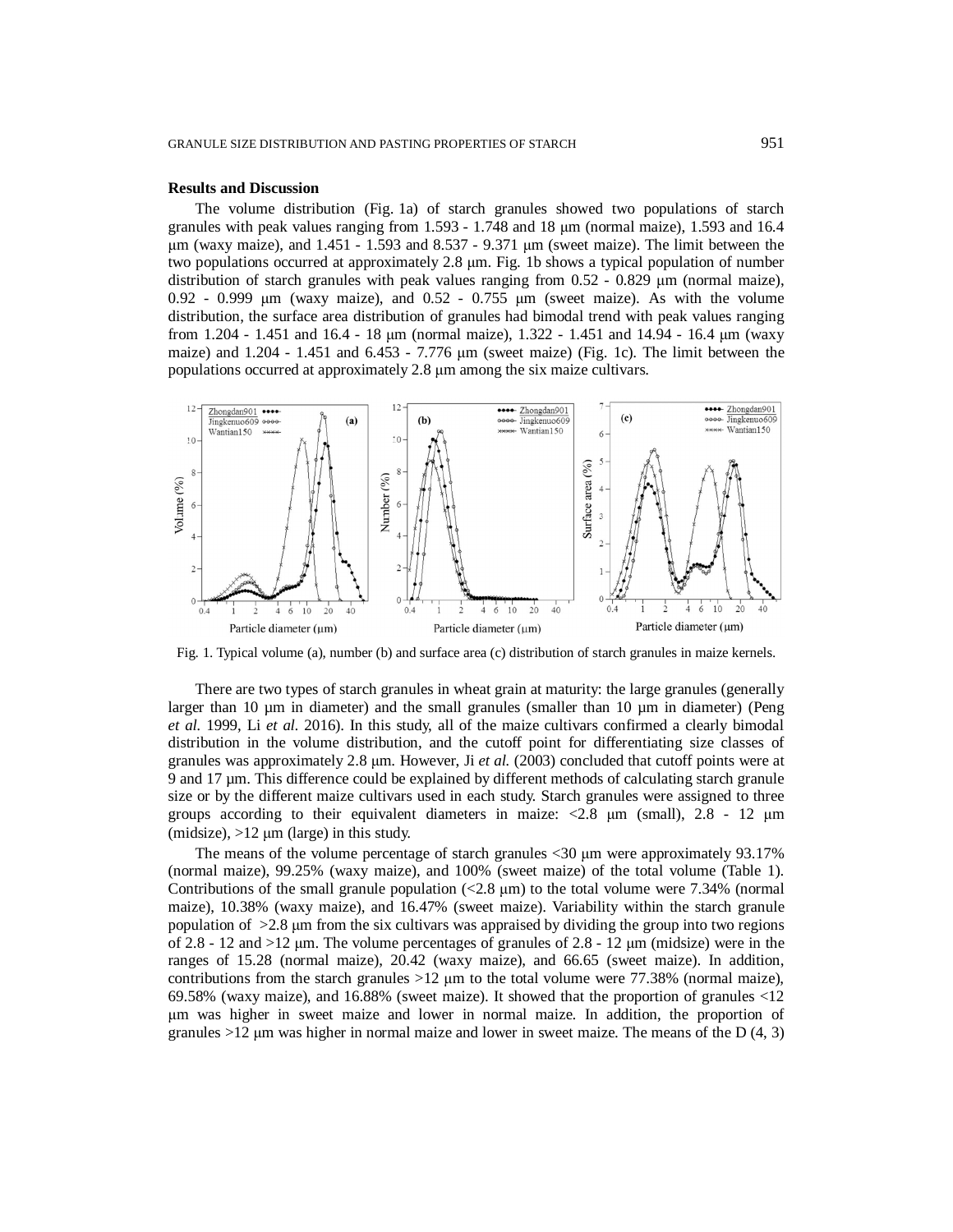#### **Results and Discussion**

The volume distribution (Fig. 1a) of starch granules showed two populations of starch granules with peak values ranging from 1.593 - 1.748 and 18 μm (normal maize), 1.593 and 16.4 μm (waxy maize), and 1.451 - 1.593 and 8.537 - 9.371 μm (sweet maize). The limit between the two populations occurred at approximately 2.8 μm. Fig. 1b shows a typical population of number distribution of starch granules with peak values ranging from 0.52 - 0.829 μm (normal maize), 0.92 - 0.999 μm (waxy maize), and 0.52 - 0.755 μm (sweet maize). As with the volume distribution, the surface area distribution of granules had bimodal trend with peak values ranging from 1.204 - 1.451 and 16.4 - 18 μm (normal maize), 1.322 - 1.451 and 14.94 - 16.4 μm (waxy maize) and 1.204 - 1.451 and 6.453 - 7.776 μm (sweet maize) (Fig. 1c). The limit between the populations occurred at approximately 2.8 μm among the six maize cultivars.



Fig. 1. Typical volume (a), number (b) and surface area (c) distribution of starch granules in maize kernels.

There are two types of starch granules in wheat grain at maturity: the large granules (generally larger than  $10 \mu m$  in diameter) and the small granules (smaller than  $10 \mu m$  in diameter) (Peng *et al.* 1999, Li *et al.* 2016). In this study, all of the maize cultivars confirmed a clearly bimodal distribution in the volume distribution, and the cutoff point for differentiating size classes of granules was approximately 2.8 μm. However, Ji *et al.* (2003) concluded that cutoff points were at 9 and 17 µm. This difference could be explained by different methods of calculating starch granule size or by the different maize cultivars used in each study. Starch granules were assigned to three groups according to their equivalent diameters in maize:  $\langle 2.8 \text{ }\mu \text{m} \rangle$  (small), 2.8 - 12  $\mu \text{m}$ (midsize),  $>12 \mu$ m (large) in this study.

The means of the volume percentage of starch granules <30 μm were approximately 93.17% (normal maize), 99.25% (waxy maize), and 100% (sweet maize) of the total volume (Table 1). Contributions of the small granule population  $\langle 2.8 \mu \text{m} \rangle$  to the total volume were 7.34% (normal maize), 10.38% (waxy maize), and 16.47% (sweet maize). Variability within the starch granule population of >2.8 μm from the six cultivars was appraised by dividing the group into two regions of 2.8 - 12 and  $>12$  μm. The volume percentages of granules of 2.8 - 12 μm (midsize) were in the ranges of 15.28 (normal maize), 20.42 (waxy maize), and 66.65 (sweet maize). In addition, contributions from the starch granules  $>12 \mu m$  to the total volume were 77.38% (normal maize), 69.58% (waxy maize), and 16.88% (sweet maize). It showed that the proportion of granules <12 μm was higher in sweet maize and lower in normal maize. In addition, the proportion of granules  $>12$  μm was higher in normal maize and lower in sweet maize. The means of the D (4, 3)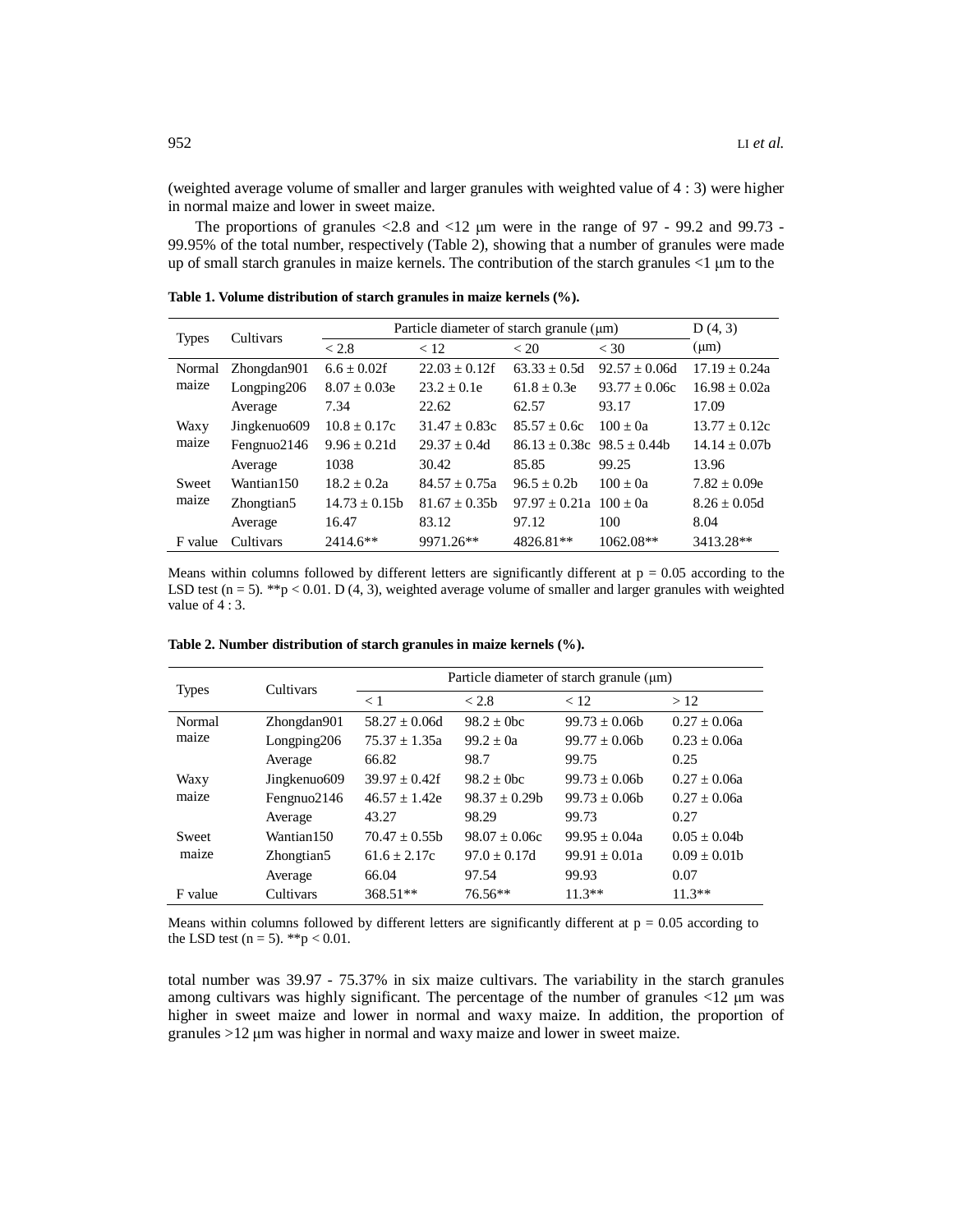(weighted average volume of smaller and larger granules with weighted value of 4 : 3) were higher in normal maize and lower in sweet maize.

The proportions of granules <2.8 and <12  $\mu$ m were in the range of 97 - 99.2 and 99.73 -99.95% of the total number, respectively (Table 2), showing that a number of granules were made up of small starch granules in maize kernels. The contribution of the starch granules <1 μm to the

| <b>Types</b> | Cultivars              | Particle diameter of starch granule $(\mu m)$ | D(4, 3)         |                                |                 |                 |
|--------------|------------------------|-----------------------------------------------|-----------------|--------------------------------|-----------------|-----------------|
|              |                        | < 2.8                                         | < 12            | < 20                           | $<$ 30          | $(\mu m)$       |
| Normal       | Zhongdan901            | $6.6 + 0.02$ f                                | $22.03 + 0.12f$ | $63.33 + 0.5d$                 | $92.57 + 0.06d$ | $17.19 + 0.24a$ |
| maize        | Longping206            | $8.07 + 0.03e$                                | $23.2 + 0.1e$   | $61.8 + 0.3e$                  | $93.77 + 0.06c$ | $16.98 + 0.02a$ |
|              | Average                | 7.34                                          | 22.62           | 62.57                          | 93.17           | 17.09           |
| Waxy         | Jingkenuo609           | $10.8 \pm 0.17c$                              | $31.47 + 0.83c$ | $85.57 + 0.6c$                 | $100 + 0a$      | $13.77 + 0.12c$ |
| maize        | Fengnuo2146            | $9.96 + 0.21d$                                | $29.37 + 0.4d$  | $86.13 + 0.38c$ $98.5 + 0.44b$ |                 | $14.14 + 0.07b$ |
|              | Average                | 1038                                          | 30.42           | 85.85                          | 99.25           | 13.96           |
| Sweet        | Wantian 150            | $18.2 + 0.2a$                                 | $84.57 + 0.75a$ | $96.5 + 0.2b$                  | $100 + 0a$      | $7.82 + 0.09e$  |
| maize        | Zhongtian <sub>5</sub> | $14.73 + 0.15h$                               | $81.67 + 0.35h$ | $97.97 + 0.21a$ $100 + 0a$     |                 | $8.26 + 0.05d$  |
|              | Average                | 16.47                                         | 83.12           | 97.12                          | 100             | 8.04            |
| F value      | Cultivars              | $2414.6**$                                    | 9971.26**       | 4826.81**                      | $1062.08**$     | 3413.28**       |

**Table 1. Volume distribution of starch granules in maize kernels (%).**

Means within columns followed by different letters are significantly different at  $p = 0.05$  according to the LSD test ( $n = 5$ ). \*\*p < 0.01. D (4, 3), weighted average volume of smaller and larger granules with weighted value of 4 : 3.

| <b>Types</b> | Cultivars              | Particle diameter of starch granule $(\mu m)$ |                  |                   |                |  |  |
|--------------|------------------------|-----------------------------------------------|------------------|-------------------|----------------|--|--|
|              |                        | $\leq 1$                                      | < 2.8            | < 12              | >12            |  |  |
| Normal       | Zhongdan901            | $58.27 + 0.06d$                               | $98.2 + 0$ bc    | $99.73 + 0.06$    | $0.27 + 0.06a$ |  |  |
| maize        | Longping 206           | $75.37 + 1.35a$                               | $99.2 + 0a$      | $99.77 + 0.06$    | $0.23 + 0.06a$ |  |  |
|              | Average                | 66.82                                         | 98.7             | 99.75             | 0.25           |  |  |
| Waxy         | Jingkenuo609           | $39.97 \pm 0.42$ f                            | $98.2 + 0$ bc    | $99.73 + 0.06$    | $0.27 + 0.06a$ |  |  |
| maize        | Fengnuo2146            | $46.57 + 1.42e$                               | $98.37 + 0.29$   | $99.73 \pm 0.06b$ | $0.27 + 0.06a$ |  |  |
|              | Average                | 43.27                                         | 98.29            | 99.73             | 0.27           |  |  |
| Sweet        | Wantian150             | $70.47 + 0.55$                                | $98.07 + 0.06c$  | $99.95 + 0.04a$   | $0.05 + 0.04$  |  |  |
| maize        | Zhongtian <sub>5</sub> | $61.6 + 2.17c$                                | $97.0 \pm 0.17d$ | $99.91 + 0.01a$   | $0.09 + 0.01b$ |  |  |
|              | Average                | 66.04                                         | 97.54            | 99.93             | 0.07           |  |  |
| F value      | Cultivars              | $368.51**$                                    | 76.56**          | $11.3**$          | $11.3**$       |  |  |

**Table 2. Number distribution of starch granules in maize kernels (%).**

Means within columns followed by different letters are significantly different at  $p = 0.05$  according to the LSD test ( $n = 5$ ). \*\*p < 0.01.

total number was 39.97 - 75.37% in six maize cultivars. The variability in the starch granules among cultivars was highly significant. The percentage of the number of granules <12 μm was higher in sweet maize and lower in normal and waxy maize. In addition, the proportion of granules >12 μm was higher in normal and waxy maize and lower in sweet maize.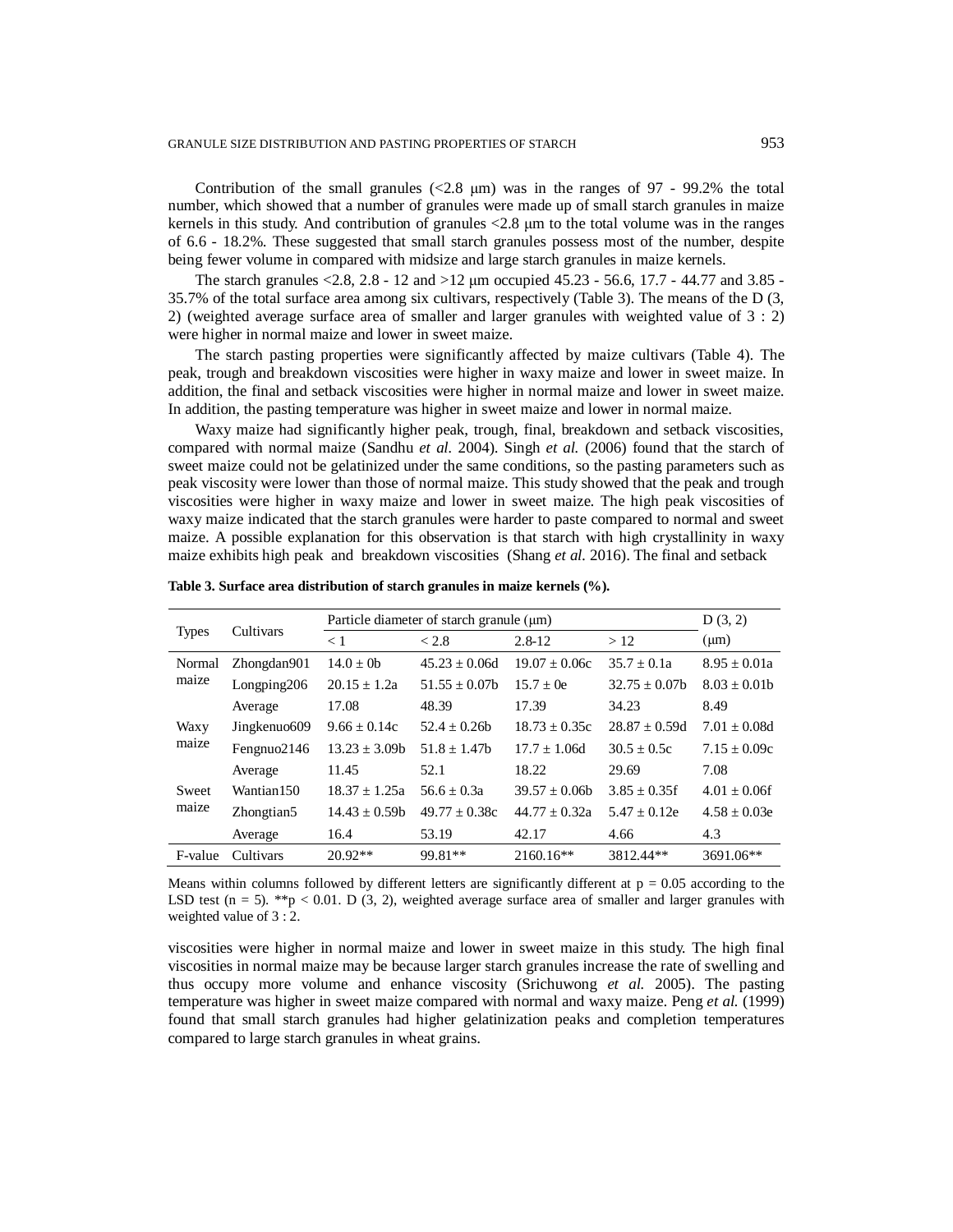Contribution of the small granules  $\langle 2.8 \mu m \rangle$  was in the ranges of 97 - 99.2% the total number, which showed that a number of granules were made up of small starch granules in maize kernels in this study. And contribution of granules <2.8 μm to the total volume was in the ranges of 6.6 - 18.2%. These suggested that small starch granules possess most of the number, despite being fewer volume in compared with midsize and large starch granules in maize kernels.

The starch granules <2.8, 2.8 - 12 and >12 μm occupied 45.23 - 56.6, 17.7 - 44.77 and 3.85 - 35.7% of the total surface area among six cultivars, respectively (Table 3). The means of the D (3, 2) (weighted average surface area of smaller and larger granules with weighted value of 3 : 2) were higher in normal maize and lower in sweet maize.

The starch pasting properties were significantly affected by maize cultivars (Table 4). The peak, trough and breakdown viscosities were higher in waxy maize and lower in sweet maize. In addition, the final and setback viscosities were higher in normal maize and lower in sweet maize. In addition, the pasting temperature was higher in sweet maize and lower in normal maize.

Waxy maize had significantly higher peak, trough, final, breakdown and setback viscosities, compared with normal maize (Sandhu *et al.* 2004). Singh *et al.* (2006) found that the starch of sweet maize could not be gelatinized under the same conditions, so the pasting parameters such as peak viscosity were lower than those of normal maize. This study showed that the peak and trough viscosities were higher in waxy maize and lower in sweet maize. The high peak viscosities of waxy maize indicated that the starch granules were harder to paste compared to normal and sweet maize. A possible explanation for this observation is that starch with high crystallinity in waxy maize exhibits high peak and breakdown viscosities (Shang *et al.* 2016). The final and setback

|                 | Cultivars     | Particle diameter of starch granule $(\mu m)$ | D(3, 2)            |                   |                   |                  |
|-----------------|---------------|-----------------------------------------------|--------------------|-------------------|-------------------|------------------|
| <b>Types</b>    |               | $\leq 1$                                      | < 2.8              | $2.8 - 12$        | >12               | $(\mu m)$        |
| Normal<br>maize | Zhongdan901   | $14.0 \pm 0$                                  | $45.23 + 0.06d$    | $19.07 \pm 0.06c$ | $35.7 \pm 0.1a$   | $8.95 \pm 0.01a$ |
|                 | Longping206   | $20.15 \pm 1.2a$                              | $51.55 \pm 0.07$ b | $15.7 + 0e$       | $32.75 \pm 0.07b$ | $8.03 \pm 0.01b$ |
|                 | Average       | 17.08                                         | 48.39              | 17.39             | 34.23             | 8.49             |
| Waxy<br>maize   | Jingkenuo 609 | $9.66 + 0.14c$                                | $52.4 + 0.26h$     | $18.73 + 0.35c$   | $28.87 + 0.59d$   | $7.01 + 0.08d$   |
|                 | Fengnuo2146   | $13.23 + 3.09b$                               | $51.8 + 1.47$      | $17.7 + 1.06d$    | $30.5 + 0.5c$     | $7.15 + 0.09c$   |
|                 | Average       | 11.45                                         | 52.1               | 18.22             | 29.69             | 7.08             |
| Sweet<br>maize  | Wantian150    | $18.37 + 1.25a$                               | $56.6 + 0.3a$      | $39.57 + 0.06$    | $3.85 + 0.35f$    | $4.01 + 0.06f$   |
|                 | Zhongtian5    | $14.43 \pm 0.59b$                             | $49.77 \pm 0.38c$  | $44.77 + 0.32a$   | $5.47 + 0.12e$    | $4.58 + 0.03e$   |
|                 | Average       | 16.4                                          | 53.19              | 42.17             | 4.66              | 4.3              |
| F-value         | Cultivars     | $20.92**$                                     | 99.81**            | $2160.16**$       | 3812.44**         | 3691.06**        |

**Table 3. Surface area distribution of starch granules in maize kernels (%).**

Means within columns followed by different letters are significantly different at  $p = 0.05$  according to the LSD test ( $n = 5$ ). \*\*p < 0.01. D (3, 2), weighted average surface area of smaller and larger granules with weighted value of 3 : 2.

viscosities were higher in normal maize and lower in sweet maize in this study. The high final viscosities in normal maize may be because larger starch granules increase the rate of swelling and thus occupy more volume and enhance viscosity (Srichuwong *et al.* 2005). The pasting temperature was higher in sweet maize compared with normal and waxy maize. Peng *et al.* (1999) found that small starch granules had higher gelatinization peaks and completion temperatures compared to large starch granules in wheat grains.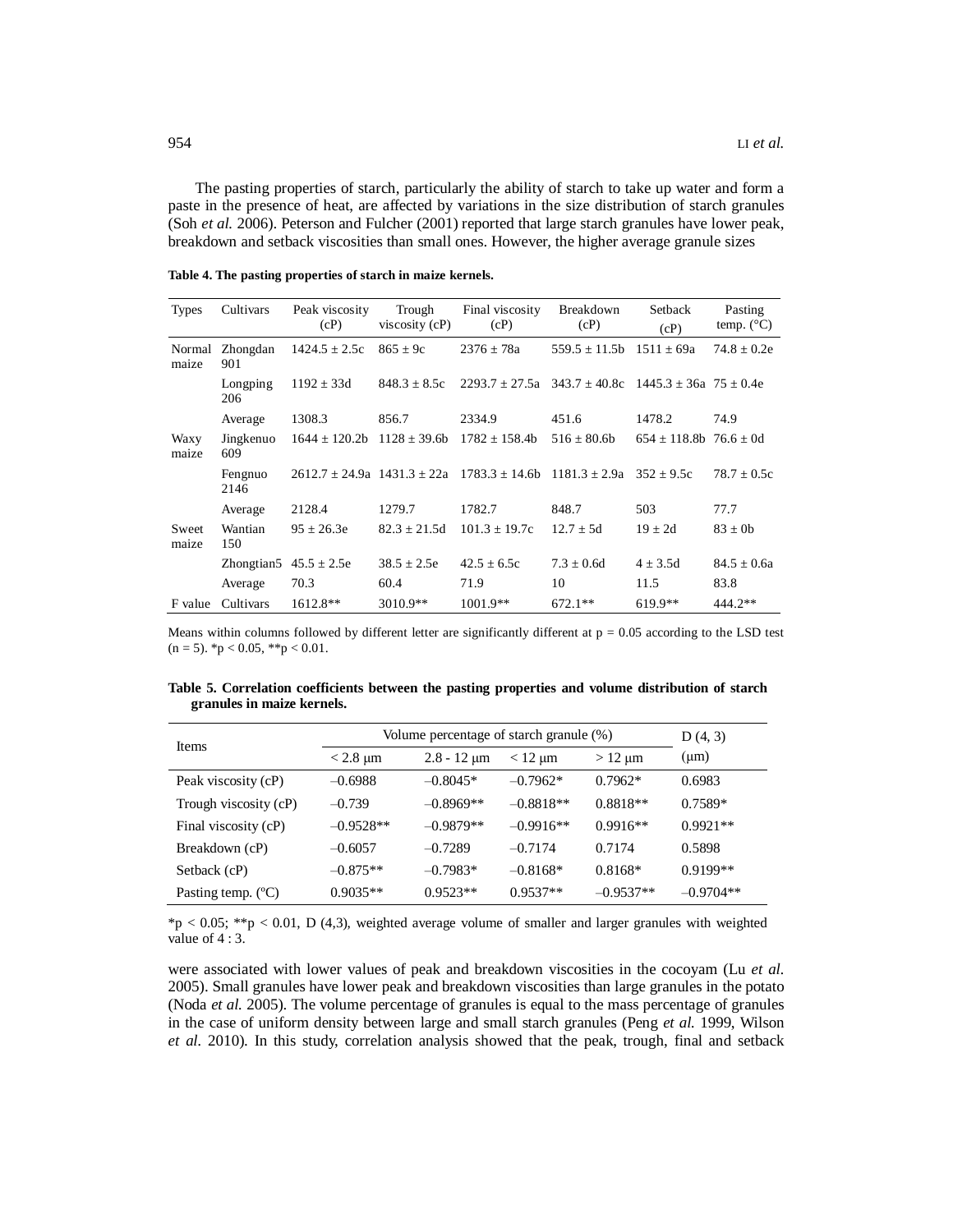The pasting properties of starch, particularly the ability of starch to take up water and form a paste in the presence of heat, are affected by variations in the size distribution of starch granules (Soh *et al.* 2006). Peterson and Fulcher (2001) reported that large starch granules have lower peak, breakdown and setback viscosities than small ones. However, the higher average granule sizes

| <b>Types</b>    | Cultivars        | Peak viscosity<br>(cP) | Trough<br>viscosity $(cP)$ | Final viscosity<br>(cP)                                                                 | Breakdown<br>(cP)                | Setback<br>(cP)                 | Pasting<br>temp. $(^{\circ}C)$ |
|-----------------|------------------|------------------------|----------------------------|-----------------------------------------------------------------------------------------|----------------------------------|---------------------------------|--------------------------------|
| Normal<br>maize | Zhongdan<br>901  | $1424.5 \pm 2.5c$      | $865 \pm 9c$               | $2376 \pm 78a$                                                                          | $559.5 \pm 11.5b$ $1511 \pm 69a$ |                                 | $74.8 \pm 0.2e$                |
|                 | Longping<br>206  | $1192 \pm 33d$         | $848.3 \pm 8.5c$           | $2293.7 + 27.5a$ $343.7 + 40.8c$ $1445.3 + 36a$ $75 + 0.4e$                             |                                  |                                 |                                |
|                 | Average          | 1308.3                 | 856.7                      | 2334.9                                                                                  | 451.6                            | 1478.2                          | 74.9                           |
| Waxy<br>maize   | Jingkenuo<br>609 | $1644 + 120.2b$        | $1128 \pm 39.6b$           | $1782 \pm 158.4b$                                                                       | $516 + 80.6b$                    | $654 \pm 118.8$ b 76.6 $\pm$ 0d |                                |
|                 | Fengnuo<br>2146  |                        |                            | $2612.7 \pm 24.9a$ 1431.3 $\pm$ 22a 1783.3 $\pm$ 14.6b 1181.3 $\pm$ 2.9a 352 $\pm$ 9.5c |                                  |                                 | $78.7 + 0.5c$                  |
|                 | Average          | 2128.4                 | 1279.7                     | 1782.7                                                                                  | 848.7                            | 503                             | 77.7                           |
| Sweet<br>maize  | Wantian<br>150   | $95 + 26.3e$           | $82.3 + 21.5d$             | $101.3 + 19.7c$                                                                         | $12.7 + 5d$                      | $19 + 2d$                       | $83 \pm 0$                     |
|                 | Zhongtian5       | $45.5 \pm 2.5e$        | $38.5 \pm 2.5e$            | $42.5 \pm 6.5c$                                                                         | $7.3 \pm 0.6d$                   | $4 \pm 3.5d$                    | $84.5 \pm 0.6a$                |
|                 | Average          | 70.3                   | 60.4                       | 71.9                                                                                    | 10                               | 11.5                            | 83.8                           |
| F value         | Cultivars        | 1612.8**               | $3010.9**$                 | $1001.9**$                                                                              | $672.1**$                        | $619.9**$                       | 444.2**                        |

**Table 4. The pasting properties of starch in maize kernels.**

Means within columns followed by different letter are significantly different at  $p = 0.05$  according to the LSD test  $(n = 5)$ . \*p < 0.05, \*\*p < 0.01.

**Table 5. Correlation coefficients between the pasting properties and volume distribution of starch granules in maize kernels.**

| <b>Items</b>                | Volume percentage of starch granule (%) | D(4, 3)                     |              |             |             |
|-----------------------------|-----------------------------------------|-----------------------------|--------------|-------------|-------------|
|                             | $<$ 2.8 $\mu$ m                         | $2.8 - 12 \,\mathrm{\mu m}$ | $< 12 \mu m$ | $>12 \mu m$ | $(\mu m)$   |
| Peak viscosity (cP)         | $-0.6988$                               | $-0.8045*$                  | $-0.7962*$   | $0.7962*$   | 0.6983      |
| Trough viscosity (cP)       | $-0.739$                                | $-0.8969**$                 | $-0.8818**$  | $0.8818**$  | $0.7589*$   |
| Final viscosity (cP)        | $-0.9528**$                             | $-0.9879**$                 | $-0.9916**$  | $0.9916**$  | $0.9921**$  |
| Breakdown (cP)              | $-0.6057$                               | $-0.7289$                   | $-0.7174$    | 0.7174      | 0.5898      |
| Setback (cP)                | $-0.875**$                              | $-0.7983*$                  | $-0.8168*$   | $0.8168*$   | $0.9199**$  |
| Pasting temp. $(^{\circ}C)$ | $0.9035**$                              | $0.9523**$                  | $0.9537**$   | $-0.9537**$ | $-0.9704**$ |

 $*p < 0.05$ ;  $**p < 0.01$ , D (4,3), weighted average volume of smaller and larger granules with weighted value of 4 : 3.

were associated with lower values of peak and breakdown viscosities in the cocoyam (Lu *et al.* 2005). Small granules have lower peak and breakdown viscosities than large granules in the potato (Noda *et al.* 2005). The volume percentage of granules is equal to the mass percentage of granules in the case of uniform density between large and small starch granules (Peng *et al.* 1999, Wilson *et al.* 2010). In this study, correlation analysis showed that the peak, trough, final and setback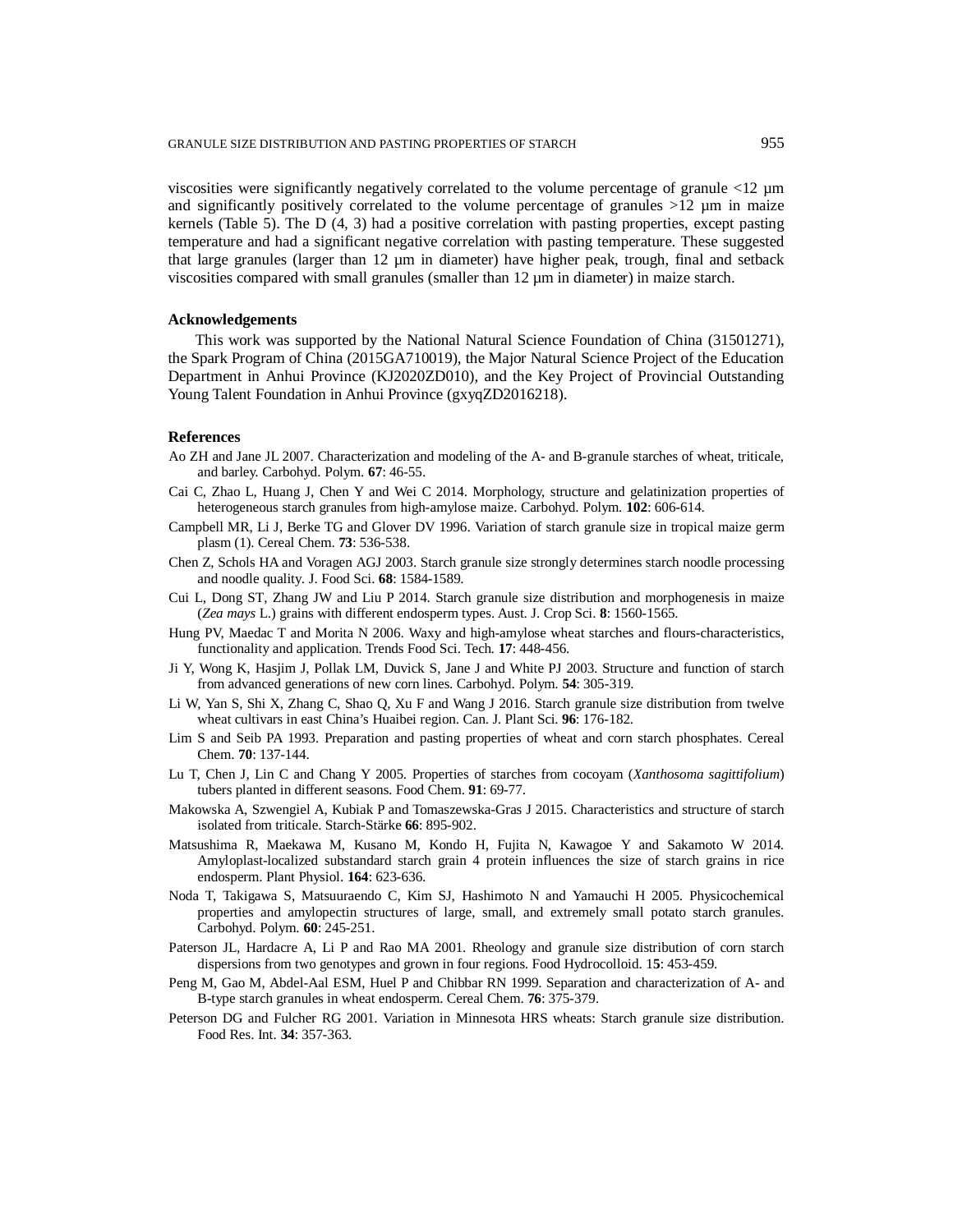viscosities were significantly negatively correlated to the volume percentage of granule <12 µm and significantly positively correlated to the volume percentage of granules  $>12$   $\mu$ m in maize kernels (Table 5). The D (4, 3) had a positive correlation with pasting properties, except pasting temperature and had a significant negative correlation with pasting temperature. These suggested that large granules (larger than 12 µm in diameter) have higher peak, trough, final and setback viscosities compared with small granules (smaller than  $12 \mu m$  in diameter) in maize starch.

#### **Acknowledgements**

This work was supported by the National Natural Science Foundation of China (31501271), the Spark Program of China (2015GA710019), the Major Natural Science Project of the Education Department in Anhui Province (KJ2020ZD010), and the Key Project of Provincial Outstanding Young Talent Foundation in Anhui Province (gxyqZD2016218).

## **References**

- Ao ZH and Jane JL 2007. Characterization and modeling of the A- and B-granule starches of wheat, triticale, and barley. Carbohyd. Polym. **67**: 46-55.
- Cai C, Zhao L, Huang J, Chen Y and Wei C 2014. Morphology, structure and gelatinization properties of heterogeneous starch granules from high-amylose maize. Carbohyd. Polym. **102**: 606-614.
- Campbell MR, Li J, Berke TG and Glover DV 1996. Variation of starch granule size in tropical maize germ plasm (1). Cereal Chem. **73**: 536-538.
- Chen Z, Schols HA and Voragen AGJ 2003. Starch granule size strongly determines starch noodle processing and noodle quality. J. Food Sci. **68**: 1584-1589.
- Cui L, Dong ST, Zhang JW and Liu P 2014. Starch granule size distribution and morphogenesis in maize (*Zea mays* L.) grains with different endosperm types. Aust. J. Crop Sci. **8**: 1560-1565.
- Hung PV, Maedac T and Morita N 2006. Waxy and high-amylose wheat starches and flours-characteristics, functionality and application. Trends Food Sci. Tech. **17**: 448-456.
- Ji Y, Wong K, Hasjim J, Pollak LM, Duvick S, Jane J and White PJ 2003. Structure and function of starch from advanced generations of new corn lines. Carbohyd. Polym. **54**: 305-319.
- Li W, Yan S, Shi X, Zhang C, Shao Q, Xu F and Wang J 2016. Starch granule size distribution from twelve wheat cultivars in east China's Huaibei region. Can. J. Plant Sci. **96**: 176-182.
- Lim S and Seib PA 1993. Preparation and pasting properties of wheat and corn starch phosphates. Cereal Chem. **70**: 137-144.
- Lu T, Chen J, Lin C and Chang Y 2005. Properties of starches from cocoyam (*Xanthosoma sagittifolium*) tubers planted in different seasons. Food Chem. **91**: 69-77.
- Makowska A, Szwengiel A, Kubiak P and Tomaszewska-Gras J 2015. Characteristics and structure of starch isolated from triticale. Starch-Stärke **66**: 895-902.
- Matsushima R, Maekawa M, Kusano M, Kondo H, Fujita N, Kawagoe Y and Sakamoto W 2014. Amyloplast-localized substandard starch grain 4 protein influences the size of starch grains in rice endosperm. Plant Physiol. **164**: 623-636.
- Noda T, Takigawa S, Matsuuraendo C, Kim SJ, Hashimoto N and Yamauchi H 2005. Physicochemical properties and amylopectin structures of large, small, and extremely small potato starch granules. Carbohyd. Polym. **60**: 245-251.
- Paterson JL, Hardacre A, Li P and Rao MA 2001. Rheology and granule size distribution of corn starch dispersions from two genotypes and grown in four regions. Food Hydrocolloid. 1**5**: 453-459.
- Peng M, Gao M, Abdel-Aal ESM, Huel P and Chibbar RN 1999. Separation and characterization of A- and B-type starch granules in wheat endosperm. Cereal Chem. **76**: 375-379.
- Peterson DG and Fulcher RG 2001. Variation in Minnesota HRS wheats: Starch granule size distribution. Food Res. Int. **34**: 357-363.